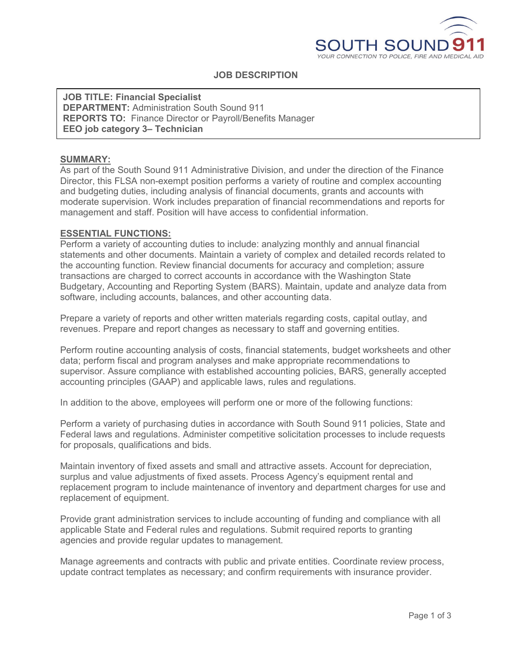

## **JOB DESCRIPTION**

**JOB TITLE: Financial Specialist DEPARTMENT:** Administration South Sound 911 **REPORTS TO:** Finance Director or Payroll/Benefits Manager **EEO job category 3– Technician**

#### **SUMMARY:**

As part of the South Sound 911 Administrative Division, and under the direction of the Finance Director, this FLSA non-exempt position performs a variety of routine and complex accounting and budgeting duties, including analysis of financial documents, grants and accounts with moderate supervision. Work includes preparation of financial recommendations and reports for management and staff. Position will have access to confidential information.

#### **ESSENTIAL FUNCTIONS:**

Perform a variety of accounting duties to include: analyzing monthly and annual financial statements and other documents. Maintain a variety of complex and detailed records related to the accounting function. Review financial documents for accuracy and completion; assure transactions are charged to correct accounts in accordance with the Washington State Budgetary, Accounting and Reporting System (BARS). Maintain, update and analyze data from software, including accounts, balances, and other accounting data.

Prepare a variety of reports and other written materials regarding costs, capital outlay, and revenues. Prepare and report changes as necessary to staff and governing entities.

Perform routine accounting analysis of costs, financial statements, budget worksheets and other data; perform fiscal and program analyses and make appropriate recommendations to supervisor. Assure compliance with established accounting policies, BARS, generally accepted accounting principles (GAAP) and applicable laws, rules and regulations.

In addition to the above, employees will perform one or more of the following functions:

Perform a variety of purchasing duties in accordance with South Sound 911 policies, State and Federal laws and regulations. Administer competitive solicitation processes to include requests for proposals, qualifications and bids.

Maintain inventory of fixed assets and small and attractive assets. Account for depreciation, surplus and value adjustments of fixed assets. Process Agency's equipment rental and replacement program to include maintenance of inventory and department charges for use and replacement of equipment.

Provide grant administration services to include accounting of funding and compliance with all applicable State and Federal rules and regulations. Submit required reports to granting agencies and provide regular updates to management.

Manage agreements and contracts with public and private entities. Coordinate review process, update contract templates as necessary; and confirm requirements with insurance provider.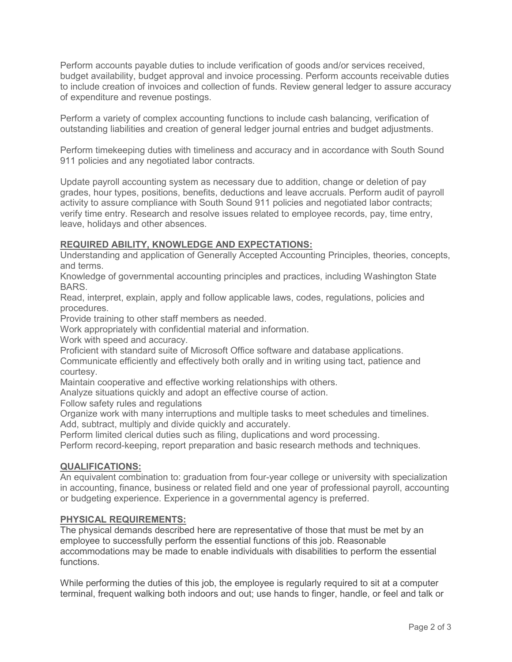Perform accounts payable duties to include verification of goods and/or services received, budget availability, budget approval and invoice processing. Perform accounts receivable duties to include creation of invoices and collection of funds. Review general ledger to assure accuracy of expenditure and revenue postings.

Perform a variety of complex accounting functions to include cash balancing, verification of outstanding liabilities and creation of general ledger journal entries and budget adjustments.

Perform timekeeping duties with timeliness and accuracy and in accordance with South Sound 911 policies and any negotiated labor contracts.

Update payroll accounting system as necessary due to addition, change or deletion of pay grades, hour types, positions, benefits, deductions and leave accruals. Perform audit of payroll activity to assure compliance with South Sound 911 policies and negotiated labor contracts; verify time entry. Research and resolve issues related to employee records, pay, time entry, leave, holidays and other absences.

## **REQUIRED ABILITY, KNOWLEDGE AND EXPECTATIONS:**

Understanding and application of Generally Accepted Accounting Principles, theories, concepts, and terms.

Knowledge of governmental accounting principles and practices, including Washington State BARS.

Read, interpret, explain, apply and follow applicable laws, codes, regulations, policies and procedures.

Provide training to other staff members as needed.

Work appropriately with confidential material and information.

Work with speed and accuracy.

Proficient with standard suite of Microsoft Office software and database applications.

Communicate efficiently and effectively both orally and in writing using tact, patience and courtesy.

Maintain cooperative and effective working relationships with others.

Analyze situations quickly and adopt an effective course of action.

Follow safety rules and regulations

Organize work with many interruptions and multiple tasks to meet schedules and timelines.

Add, subtract, multiply and divide quickly and accurately.

Perform limited clerical duties such as filing, duplications and word processing.

Perform record-keeping, report preparation and basic research methods and techniques.

## **QUALIFICATIONS:**

An equivalent combination to: graduation from four-year college or university with specialization in accounting, finance, business or related field and one year of professional payroll, accounting or budgeting experience. Experience in a governmental agency is preferred.

### **PHYSICAL REQUIREMENTS:**

The physical demands described here are representative of those that must be met by an employee to successfully perform the essential functions of this job. Reasonable accommodations may be made to enable individuals with disabilities to perform the essential functions.

While performing the duties of this job, the employee is regularly required to sit at a computer terminal, frequent walking both indoors and out; use hands to finger, handle, or feel and talk or